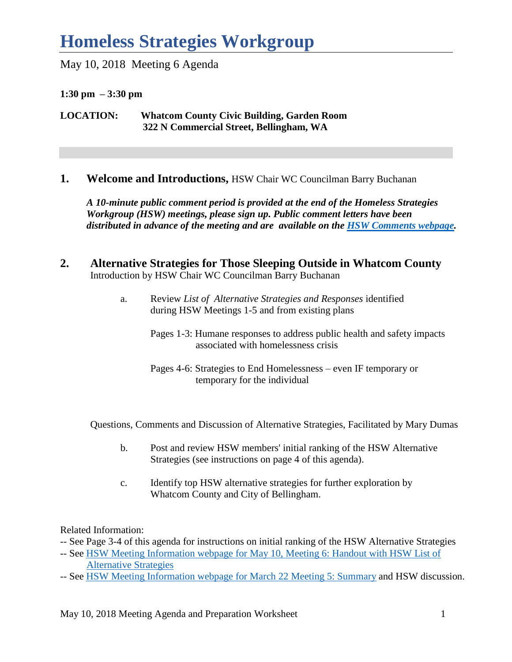May 10, 2018 Meeting 6 Agenda

**1:30 pm – 3:30 pm**

**LOCATION: Whatcom County Civic Building, Garden Room 322 N Commercial Street, Bellingham, WA** 

**1. Welcome and Introductions,** HSW Chair WC Councilman Barry Buchanan

*A 10-minute public comment period is provided at the end of the Homeless Strategies Workgroup (HSW) meetings, please sign up. Public comment letters have been distributed in advance of the meeting and are available on the [HSW Comments webpage.](http://www.co.whatcom.wa.us/2792/Comments)* 

- **2. Alternative Strategies for Those Sleeping Outside in Whatcom County** Introduction by HSW Chair WC Councilman Barry Buchanan
	- a. Review *List of Alternative Strategies and Responses* identified during HSW Meetings 1-5 and from existing plans
		- Pages 1-3: Humane responses to address public health and safety impacts associated with homelessness crisis
		- Pages 4-6: Strategies to End Homelessness even IF temporary or temporary for the individual

Questions, Comments and Discussion of Alternative Strategies, Facilitated by Mary Dumas

- b. Post and review HSW members' initial ranking of the HSW Alternative Strategies (see instructions on page 4 of this agenda).
- c. Identify top HSW alternative strategies for further exploration by Whatcom County and City of Bellingham.

Related Information:

- -- See Page 3-4 of this agenda for instructions on initial ranking of the HSW Alternative Strategies
- -- See [HSW Meeting Information webpage for May 10, Meeting 6: Handout with HSW List of](http://www.co.whatcom.wa.us/2748/Homeless-Strategies-Workgroup-Meeting-In)  [Alternative Strategies](http://www.co.whatcom.wa.us/2748/Homeless-Strategies-Workgroup-Meeting-In)
- -- See [HSW Meeting Information webpage for March 22](http://www.co.whatcom.wa.us/2748/Homeless-Strategies-Workgroup-Meeting-In) Meeting 5: Summary and HSW discussion.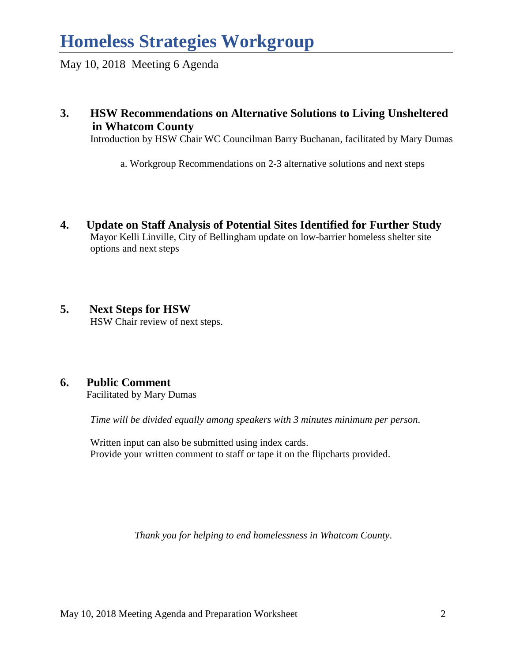May 10, 2018 Meeting 6 Agenda

**3. HSW Recommendations on Alternative Solutions to Living Unsheltered in Whatcom County**

Introduction by HSW Chair WC Councilman Barry Buchanan, facilitated by Mary Dumas

a. Workgroup Recommendations on 2-3 alternative solutions and next steps

- **4. Update on Staff Analysis of Potential Sites Identified for Further Study** Mayor Kelli Linville, City of Bellingham update on low-barrier homeless shelter site options and next steps
- **5. Next Steps for HSW**  HSW Chair review of next steps.

### **6. Public Comment**

Facilitated by Mary Dumas

*Time will be divided equally among speakers with 3 minutes minimum per person.* 

Written input can also be submitted using index cards. Provide your written comment to staff or tape it on the flipcharts provided.

*Thank you for helping to end homelessness in Whatcom County*.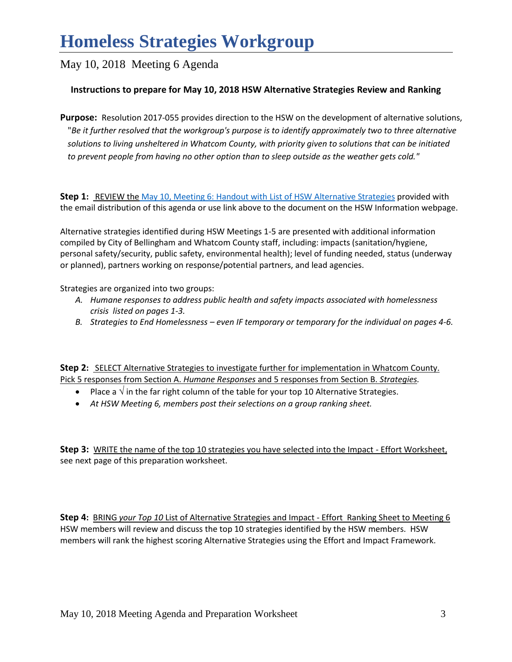May 10, 2018 Meeting 6 Agenda

#### **Instructions to prepare for May 10, 2018 HSW Alternative Strategies Review and Ranking**

**Purpose:** Resolution 2017-055 provides direction to the HSW on the development of alternative solutions, "*Be it further resolved that the workgroup's purpose is to identify approximately two to three alternative solutions to living unsheltered in Whatcom County, with priority given to solutions that can be initiated to prevent people from having no other option than to sleep outside as the weather gets cold."* 

**Step 1:** REVIEW the [May 10, Meeting 6: Handout with List of HSW Alternative Strategies](http://www.co.whatcom.wa.us/2748/Homeless-Strategies-Workgroup-Meeting-In) provided with the email distribution of this agenda or use link above to the document on the HSW Information webpage.

Alternative strategies identified during HSW Meetings 1-5 are presented with additional information compiled by City of Bellingham and Whatcom County staff, including: impacts (sanitation/hygiene, personal safety/security, public safety, environmental health); level of funding needed, status (underway or planned), partners working on response/potential partners, and lead agencies.

Strategies are organized into two groups:

- *A. Humane responses to address public health and safety impacts associated with homelessness crisis listed on pages 1-3.*
- *B. Strategies to End Homelessness – even IF temporary or temporary for the individual on pages 4-6.*

**Step 2:** SELECT Alternative Strategies to investigate further for implementation in Whatcom County. Pick 5 responses from Section A. *Humane Responses* and 5 responses from Section B. *Strategies.* 

- Place a  $\sqrt{ }$  in the far right column of the table for your top 10 Alternative Strategies.
- *At HSW Meeting 6, members post their selections on a group ranking sheet.*

**Step 3:** WRITE the name of the top 10 strategies you have selected into the Impact - Effort Worksheet, see next page of this preparation worksheet.

**Step 4:** BRING *your Top 10* List of Alternative Strategies and Impact - Effort Ranking Sheet to Meeting 6 HSW members will review and discuss the top 10 strategies identified by the HSW members. HSW members will rank the highest scoring Alternative Strategies using the Effort and Impact Framework.